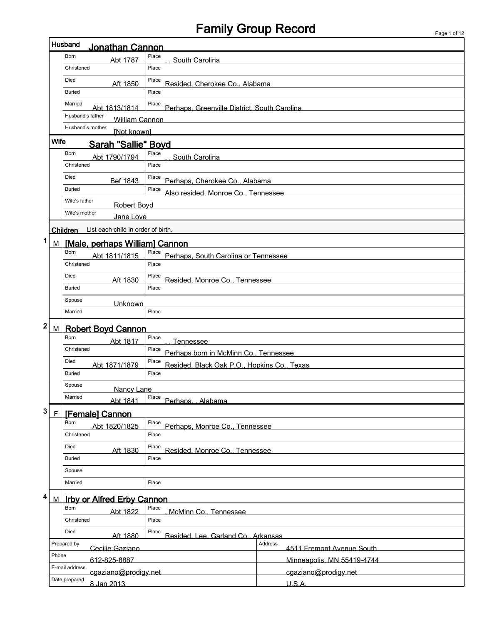$\mathsf I$ 

|   |                                                          | Husband<br>Jonathan Cannon                  |                                                       |                            |  |  |  |  |  |  |  |
|---|----------------------------------------------------------|---------------------------------------------|-------------------------------------------------------|----------------------------|--|--|--|--|--|--|--|
|   |                                                          | Born<br>Abt 1787                            | Place<br>South Carolina                               |                            |  |  |  |  |  |  |  |
|   |                                                          | Christened                                  | Place                                                 |                            |  |  |  |  |  |  |  |
|   |                                                          | Died<br>Aft 1850                            | Place<br>Resided, Cherokee Co., Alabama               |                            |  |  |  |  |  |  |  |
|   |                                                          | <b>Buried</b>                               | Place                                                 |                            |  |  |  |  |  |  |  |
|   |                                                          | Married<br>Abt 1813/1814                    | Place<br>Perhaps, Greenville District, South Carolina |                            |  |  |  |  |  |  |  |
|   |                                                          | Husband's father<br><b>William Cannon</b>   |                                                       |                            |  |  |  |  |  |  |  |
|   | Husband's mother<br>[Not known]                          |                                             |                                                       |                            |  |  |  |  |  |  |  |
|   | <b>Wife</b>                                              | Sarah "Sallie" Boyd                         |                                                       |                            |  |  |  |  |  |  |  |
|   |                                                          | Born<br>Abt 1790/1794                       | Place<br>South Carolina                               |                            |  |  |  |  |  |  |  |
|   |                                                          | Christened                                  | Place                                                 |                            |  |  |  |  |  |  |  |
|   |                                                          | Died<br>Bef 1843                            | Place<br>Perhaps, Cherokee Co., Alabama               |                            |  |  |  |  |  |  |  |
|   |                                                          | <b>Buried</b>                               | Place<br>Also resided, Monroe Co., Tennessee          |                            |  |  |  |  |  |  |  |
|   |                                                          | Wife's father<br><b>Robert Boyd</b>         |                                                       |                            |  |  |  |  |  |  |  |
|   |                                                          | Wife's mother<br>Jane Love                  |                                                       |                            |  |  |  |  |  |  |  |
|   |                                                          | Children List each child in order of birth. |                                                       |                            |  |  |  |  |  |  |  |
| 1 | <u>M</u>                                                 | [Male, perhaps William] Cannon              |                                                       |                            |  |  |  |  |  |  |  |
|   |                                                          | Born<br>Abt 1811/1815                       | Place<br>Perhaps, South Carolina or Tennessee         |                            |  |  |  |  |  |  |  |
|   |                                                          | Christened                                  | Place                                                 |                            |  |  |  |  |  |  |  |
|   |                                                          | Died<br>Aft 1830                            | Place<br>Resided, Monroe Co., Tennessee               |                            |  |  |  |  |  |  |  |
|   |                                                          | <b>Buried</b>                               | Place                                                 |                            |  |  |  |  |  |  |  |
|   |                                                          | Spouse<br>Unknown                           |                                                       |                            |  |  |  |  |  |  |  |
|   |                                                          | Married                                     | Place                                                 |                            |  |  |  |  |  |  |  |
| 2 | M                                                        | <b>Robert Boyd Cannon</b>                   |                                                       |                            |  |  |  |  |  |  |  |
|   |                                                          | Born<br>Abt 1817                            | Place<br><b>Tennessee</b>                             |                            |  |  |  |  |  |  |  |
|   |                                                          | Christened                                  | Place<br>Perhaps born in McMinn Co., Tennessee        |                            |  |  |  |  |  |  |  |
|   |                                                          | Died<br>Abt 1871/1879                       | Place<br>Resided, Black Oak P.O., Hopkins Co., Texas  |                            |  |  |  |  |  |  |  |
|   |                                                          | <b>Buried</b>                               | Place                                                 |                            |  |  |  |  |  |  |  |
|   |                                                          | Spouse<br>Nancy Lane                        |                                                       |                            |  |  |  |  |  |  |  |
|   |                                                          | Married<br>Abt 1841                         | Place<br>Perhaps Alabama                              |                            |  |  |  |  |  |  |  |
| 3 | $\overline{F}$                                           | [Female] Cannon                             |                                                       |                            |  |  |  |  |  |  |  |
|   |                                                          | Born<br>Abt 1820/1825                       | Place<br>Perhaps, Monroe Co., Tennessee               |                            |  |  |  |  |  |  |  |
|   |                                                          | Christened                                  | Place                                                 |                            |  |  |  |  |  |  |  |
|   |                                                          | Died<br>Aft 1830                            | Place<br>Resided, Monroe Co., Tennessee               |                            |  |  |  |  |  |  |  |
|   |                                                          | <b>Buried</b>                               | Place                                                 |                            |  |  |  |  |  |  |  |
|   |                                                          | Spouse                                      |                                                       |                            |  |  |  |  |  |  |  |
|   |                                                          | Married                                     | Place                                                 |                            |  |  |  |  |  |  |  |
| 4 |                                                          |                                             |                                                       |                            |  |  |  |  |  |  |  |
|   | M                                                        | <b>Irby or Alfred Erby Cannon</b><br>Born   | Place                                                 |                            |  |  |  |  |  |  |  |
|   | Abt 1822<br>McMinn Co., Tennessee<br>Christened<br>Place |                                             |                                                       |                            |  |  |  |  |  |  |  |
|   |                                                          | Died<br>Place                               |                                                       |                            |  |  |  |  |  |  |  |
|   |                                                          | Aft 1880<br>Prepared by                     | Resided. Lee. Garland Co., Arkansas                   | Address                    |  |  |  |  |  |  |  |
|   | Phone                                                    | Cecilie Gaziano                             |                                                       | 4511 Fremont Avenue South  |  |  |  |  |  |  |  |
|   |                                                          | 612-825-8887<br>E-mail address              |                                                       | Minneapolis, MN 55419-4744 |  |  |  |  |  |  |  |
|   |                                                          | cgaziano@prodigy.net<br>Date prepared       |                                                       | cgaziano@prodigy.net       |  |  |  |  |  |  |  |
|   |                                                          | 8 Jan 2013                                  |                                                       | U.S.A.                     |  |  |  |  |  |  |  |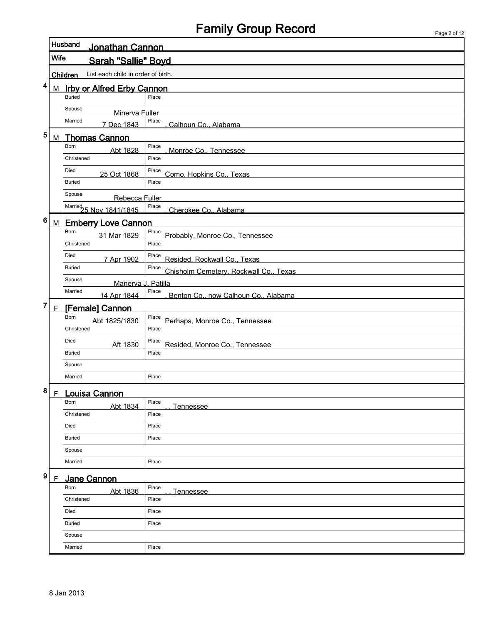|   |              | Husband<br>Jonathan Cannon                     |                                                 |  |  |  |  |  |  |  |  |
|---|--------------|------------------------------------------------|-------------------------------------------------|--|--|--|--|--|--|--|--|
|   | <b>Wife</b>  | Sarah "Sallie" Boyd                            |                                                 |  |  |  |  |  |  |  |  |
|   |              | List each child in order of birth.<br>Children |                                                 |  |  |  |  |  |  |  |  |
| 4 | M            | <b>Irby or Alfred Erby Cannon</b>              |                                                 |  |  |  |  |  |  |  |  |
|   |              | <b>Buried</b>                                  | Place                                           |  |  |  |  |  |  |  |  |
|   |              | Spouse<br>Minerva Fuller                       |                                                 |  |  |  |  |  |  |  |  |
|   |              | Married<br>7 Dec 1843                          | Place<br>Calhoun Co., Alabama                   |  |  |  |  |  |  |  |  |
| 5 | M            | <b>Thomas Cannon</b>                           |                                                 |  |  |  |  |  |  |  |  |
|   |              | Born<br>Abt 1828                               | Place<br>Monroe Co., Tennessee                  |  |  |  |  |  |  |  |  |
|   |              | Christened                                     | Place                                           |  |  |  |  |  |  |  |  |
|   |              | Died<br>25 Oct 1868                            | Place<br>Como, Hopkins Co., Texas               |  |  |  |  |  |  |  |  |
|   |              | <b>Buried</b>                                  | Place                                           |  |  |  |  |  |  |  |  |
|   |              | Spouse<br>Rebecca Fuller                       |                                                 |  |  |  |  |  |  |  |  |
|   |              | Married<br>25 Nov 1841/1845                    | Place<br>Cherokee Co., Alabama                  |  |  |  |  |  |  |  |  |
| 6 | M            | <b>Emberry Love Cannon</b>                     |                                                 |  |  |  |  |  |  |  |  |
|   |              | Born<br>31 Mar 1829                            | Place<br>Probably, Monroe Co., Tennessee        |  |  |  |  |  |  |  |  |
|   |              | Christened                                     | Place                                           |  |  |  |  |  |  |  |  |
|   |              | Died<br>7 Apr 1902                             | Place<br>Resided, Rockwall Co., Texas           |  |  |  |  |  |  |  |  |
|   |              | <b>Buried</b>                                  | Place<br>Chisholm Cemetery, Rockwall Co., Texas |  |  |  |  |  |  |  |  |
|   |              | Spouse<br>Manerva J. Patilla                   |                                                 |  |  |  |  |  |  |  |  |
|   |              | Married<br>14 Apr 1844                         | Place<br>Benton Co., now Calhoun Co., Alabama   |  |  |  |  |  |  |  |  |
| 7 | $\mathsf{F}$ | [Female] Cannon                                |                                                 |  |  |  |  |  |  |  |  |
|   |              | Born<br>Abt 1825/1830                          | Place<br>Perhaps, Monroe Co., Tennessee         |  |  |  |  |  |  |  |  |
|   |              | Christened                                     | Place                                           |  |  |  |  |  |  |  |  |
|   |              | Died<br>Aft 1830                               | Place<br>Resided, Monroe Co., Tennessee         |  |  |  |  |  |  |  |  |
|   |              | <b>Buried</b>                                  | Place                                           |  |  |  |  |  |  |  |  |
|   |              | Spouse                                         |                                                 |  |  |  |  |  |  |  |  |
|   |              | Married                                        | Place                                           |  |  |  |  |  |  |  |  |
| 8 | F            | <u>Louisa Cannon</u>                           |                                                 |  |  |  |  |  |  |  |  |
|   |              | Born<br>Abt 1834                               | Place<br><b>Tennessee</b>                       |  |  |  |  |  |  |  |  |
|   |              | Christened                                     | Place                                           |  |  |  |  |  |  |  |  |
|   |              | Died                                           | Place                                           |  |  |  |  |  |  |  |  |
|   |              | <b>Buried</b>                                  | Place                                           |  |  |  |  |  |  |  |  |
|   |              | Spouse                                         |                                                 |  |  |  |  |  |  |  |  |
|   |              | Married                                        | Place                                           |  |  |  |  |  |  |  |  |
| 9 | $\mathsf{F}$ | Jane Cannon                                    |                                                 |  |  |  |  |  |  |  |  |
|   |              | Born<br>Abt 1836                               | Place<br><b>Tennessee</b>                       |  |  |  |  |  |  |  |  |
|   |              | Christened                                     | Place                                           |  |  |  |  |  |  |  |  |
|   |              | Died                                           | Place                                           |  |  |  |  |  |  |  |  |
|   |              | <b>Buried</b>                                  | Place                                           |  |  |  |  |  |  |  |  |
|   |              | Spouse                                         |                                                 |  |  |  |  |  |  |  |  |
|   |              | Married                                        | Place                                           |  |  |  |  |  |  |  |  |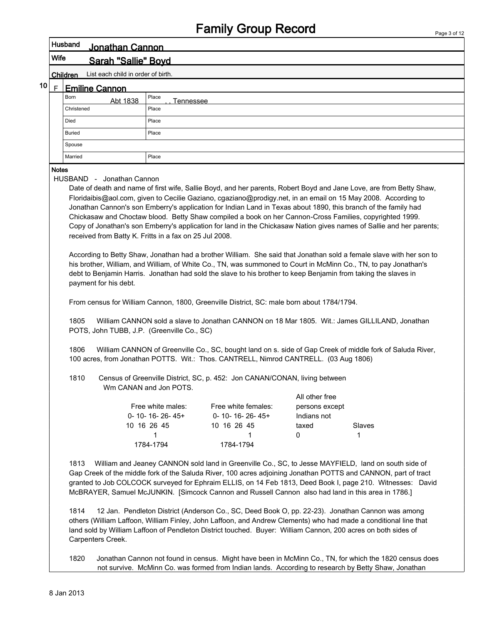|                                                                                                                                                                                                                                                                                                                                                                                                                                                                                                                                                                                                                                                                                                                                                                                                    |              | Husband<br>Jonathan Cannon                                                                                                                    |                           |                                                                                                                                                                                                                                                                                                                                                                                                                                                                                                                                                                                                                                                                                                                                                                                                                                                                                                                                                                                                                                                                                                                                                                                                                                                                                                                                                           |                |             |  |  |  |  |  |  |
|----------------------------------------------------------------------------------------------------------------------------------------------------------------------------------------------------------------------------------------------------------------------------------------------------------------------------------------------------------------------------------------------------------------------------------------------------------------------------------------------------------------------------------------------------------------------------------------------------------------------------------------------------------------------------------------------------------------------------------------------------------------------------------------------------|--------------|-----------------------------------------------------------------------------------------------------------------------------------------------|---------------------------|-----------------------------------------------------------------------------------------------------------------------------------------------------------------------------------------------------------------------------------------------------------------------------------------------------------------------------------------------------------------------------------------------------------------------------------------------------------------------------------------------------------------------------------------------------------------------------------------------------------------------------------------------------------------------------------------------------------------------------------------------------------------------------------------------------------------------------------------------------------------------------------------------------------------------------------------------------------------------------------------------------------------------------------------------------------------------------------------------------------------------------------------------------------------------------------------------------------------------------------------------------------------------------------------------------------------------------------------------------------|----------------|-------------|--|--|--|--|--|--|
|                                                                                                                                                                                                                                                                                                                                                                                                                                                                                                                                                                                                                                                                                                                                                                                                    | Wife         | Sarah "Sallie" Bovd                                                                                                                           |                           |                                                                                                                                                                                                                                                                                                                                                                                                                                                                                                                                                                                                                                                                                                                                                                                                                                                                                                                                                                                                                                                                                                                                                                                                                                                                                                                                                           |                |             |  |  |  |  |  |  |
|                                                                                                                                                                                                                                                                                                                                                                                                                                                                                                                                                                                                                                                                                                                                                                                                    |              | List each child in order of birth.<br>Children                                                                                                |                           |                                                                                                                                                                                                                                                                                                                                                                                                                                                                                                                                                                                                                                                                                                                                                                                                                                                                                                                                                                                                                                                                                                                                                                                                                                                                                                                                                           |                |             |  |  |  |  |  |  |
| 10                                                                                                                                                                                                                                                                                                                                                                                                                                                                                                                                                                                                                                                                                                                                                                                                 | F            | <b>Emiline Cannon</b>                                                                                                                         |                           |                                                                                                                                                                                                                                                                                                                                                                                                                                                                                                                                                                                                                                                                                                                                                                                                                                                                                                                                                                                                                                                                                                                                                                                                                                                                                                                                                           |                |             |  |  |  |  |  |  |
|                                                                                                                                                                                                                                                                                                                                                                                                                                                                                                                                                                                                                                                                                                                                                                                                    |              | Born<br>Abt 1838                                                                                                                              | Place                     |                                                                                                                                                                                                                                                                                                                                                                                                                                                                                                                                                                                                                                                                                                                                                                                                                                                                                                                                                                                                                                                                                                                                                                                                                                                                                                                                                           |                |             |  |  |  |  |  |  |
|                                                                                                                                                                                                                                                                                                                                                                                                                                                                                                                                                                                                                                                                                                                                                                                                    |              | Christened                                                                                                                                    | <b>Tennessee</b><br>Place |                                                                                                                                                                                                                                                                                                                                                                                                                                                                                                                                                                                                                                                                                                                                                                                                                                                                                                                                                                                                                                                                                                                                                                                                                                                                                                                                                           |                |             |  |  |  |  |  |  |
|                                                                                                                                                                                                                                                                                                                                                                                                                                                                                                                                                                                                                                                                                                                                                                                                    |              | Died                                                                                                                                          | Place                     |                                                                                                                                                                                                                                                                                                                                                                                                                                                                                                                                                                                                                                                                                                                                                                                                                                                                                                                                                                                                                                                                                                                                                                                                                                                                                                                                                           |                |             |  |  |  |  |  |  |
| Place<br><b>Buried</b>                                                                                                                                                                                                                                                                                                                                                                                                                                                                                                                                                                                                                                                                                                                                                                             |              |                                                                                                                                               |                           |                                                                                                                                                                                                                                                                                                                                                                                                                                                                                                                                                                                                                                                                                                                                                                                                                                                                                                                                                                                                                                                                                                                                                                                                                                                                                                                                                           |                |             |  |  |  |  |  |  |
| Spouse                                                                                                                                                                                                                                                                                                                                                                                                                                                                                                                                                                                                                                                                                                                                                                                             |              |                                                                                                                                               |                           |                                                                                                                                                                                                                                                                                                                                                                                                                                                                                                                                                                                                                                                                                                                                                                                                                                                                                                                                                                                                                                                                                                                                                                                                                                                                                                                                                           |                |             |  |  |  |  |  |  |
|                                                                                                                                                                                                                                                                                                                                                                                                                                                                                                                                                                                                                                                                                                                                                                                                    |              | Married                                                                                                                                       | Place                     |                                                                                                                                                                                                                                                                                                                                                                                                                                                                                                                                                                                                                                                                                                                                                                                                                                                                                                                                                                                                                                                                                                                                                                                                                                                                                                                                                           |                |             |  |  |  |  |  |  |
|                                                                                                                                                                                                                                                                                                                                                                                                                                                                                                                                                                                                                                                                                                                                                                                                    | <b>Notes</b> |                                                                                                                                               |                           |                                                                                                                                                                                                                                                                                                                                                                                                                                                                                                                                                                                                                                                                                                                                                                                                                                                                                                                                                                                                                                                                                                                                                                                                                                                                                                                                                           |                |             |  |  |  |  |  |  |
|                                                                                                                                                                                                                                                                                                                                                                                                                                                                                                                                                                                                                                                                                                                                                                                                    |              | received from Batty K. Fritts in a fax on 25 Jul 2008.<br>payment for his debt.<br>1805<br>POTS, John TUBB, J.P. (Greenville Co., SC)<br>1806 |                           | Date of death and name of first wife, Sallie Boyd, and her parents, Robert Boyd and Jane Love, are from Betty Shaw,<br>Floridaibis@aol.com, given to Cecilie Gaziano, cgaziano@prodigy.net, in an email on 15 May 2008. According to<br>Jonathan Cannon's son Emberry's application for Indian Land in Texas about 1890, this branch of the family had<br>Chickasaw and Choctaw blood. Betty Shaw compiled a book on her Cannon-Cross Families, copyrighted 1999.<br>Copy of Jonathan's son Emberry's application for land in the Chickasaw Nation gives names of Sallie and her parents;<br>According to Betty Shaw, Jonathan had a brother William. She said that Jonathan sold a female slave with her son to<br>his brother, William, and William, of White Co., TN, was summoned to Court in McMinn Co., TN, to pay Jonathan's<br>debt to Benjamin Harris. Jonathan had sold the slave to his brother to keep Benjamin from taking the slaves in<br>From census for William Cannon, 1800, Greenville District, SC: male born about 1784/1794.<br>William CANNON sold a slave to Jonathan CANNON on 18 Mar 1805. Wit.: James GILLILAND, Jonathan<br>William CANNON of Greenville Co., SC, bought land on s. side of Gap Creek of middle fork of Saluda River,<br>100 acres, from Jonathan POTTS. Wit.: Thos. CANTRELL, Nimrod CANTRELL. (03 Aug 1806) |                |             |  |  |  |  |  |  |
|                                                                                                                                                                                                                                                                                                                                                                                                                                                                                                                                                                                                                                                                                                                                                                                                    |              | 1810                                                                                                                                          | Wm CANAN and Jon POTS.    | Census of Greenville District, SC, p. 452: Jon CANAN/CONAN, living between                                                                                                                                                                                                                                                                                                                                                                                                                                                                                                                                                                                                                                                                                                                                                                                                                                                                                                                                                                                                                                                                                                                                                                                                                                                                                |                |             |  |  |  |  |  |  |
|                                                                                                                                                                                                                                                                                                                                                                                                                                                                                                                                                                                                                                                                                                                                                                                                    |              |                                                                                                                                               |                           |                                                                                                                                                                                                                                                                                                                                                                                                                                                                                                                                                                                                                                                                                                                                                                                                                                                                                                                                                                                                                                                                                                                                                                                                                                                                                                                                                           | All other free |             |  |  |  |  |  |  |
|                                                                                                                                                                                                                                                                                                                                                                                                                                                                                                                                                                                                                                                                                                                                                                                                    |              |                                                                                                                                               | Free white males:         | Free white females:                                                                                                                                                                                                                                                                                                                                                                                                                                                                                                                                                                                                                                                                                                                                                                                                                                                                                                                                                                                                                                                                                                                                                                                                                                                                                                                                       | persons except |             |  |  |  |  |  |  |
|                                                                                                                                                                                                                                                                                                                                                                                                                                                                                                                                                                                                                                                                                                                                                                                                    |              |                                                                                                                                               | $0 - 10 - 16 - 26 - 45 +$ | $0 - 10 - 16 - 26 - 45 +$                                                                                                                                                                                                                                                                                                                                                                                                                                                                                                                                                                                                                                                                                                                                                                                                                                                                                                                                                                                                                                                                                                                                                                                                                                                                                                                                 | Indians not    |             |  |  |  |  |  |  |
|                                                                                                                                                                                                                                                                                                                                                                                                                                                                                                                                                                                                                                                                                                                                                                                                    |              |                                                                                                                                               | 10 16 26 45<br>1          | 10 16 26 45<br>1                                                                                                                                                                                                                                                                                                                                                                                                                                                                                                                                                                                                                                                                                                                                                                                                                                                                                                                                                                                                                                                                                                                                                                                                                                                                                                                                          | taxed<br>0     | Slaves<br>1 |  |  |  |  |  |  |
|                                                                                                                                                                                                                                                                                                                                                                                                                                                                                                                                                                                                                                                                                                                                                                                                    |              |                                                                                                                                               | 1784-1794                 | 1784-1794                                                                                                                                                                                                                                                                                                                                                                                                                                                                                                                                                                                                                                                                                                                                                                                                                                                                                                                                                                                                                                                                                                                                                                                                                                                                                                                                                 |                |             |  |  |  |  |  |  |
| William and Jeaney CANNON sold land in Greenville Co., SC, to Jesse MAYFIELD, land on south side of<br>1813<br>Gap Creek of the middle fork of the Saluda River, 100 acres adjoining Jonathan POTTS and CANNON, part of tract<br>granted to Job COLCOCK surveyed for Ephraim ELLIS, on 14 Feb 1813, Deed Book I, page 210. Witnesses: David<br>McBRAYER, Samuel McJUNKIN. [Simcock Cannon and Russell Cannon also had land in this area in 1786.]<br>1814<br>12 Jan. Pendleton District (Anderson Co., SC, Deed Book O, pp. 22-23). Jonathan Cannon was among<br>others (William Laffoon, William Finley, John Laffoon, and Andrew Clements) who had made a conditional line that<br>land sold by William Laffoon of Pendleton District touched. Buyer: William Cannon, 200 acres on both sides of |              |                                                                                                                                               |                           |                                                                                                                                                                                                                                                                                                                                                                                                                                                                                                                                                                                                                                                                                                                                                                                                                                                                                                                                                                                                                                                                                                                                                                                                                                                                                                                                                           |                |             |  |  |  |  |  |  |

1820 Jonathan Cannon not found in census. Might have been in McMinn Co., TN, for which the 1820 census does not survive. McMinn Co. was formed from Indian lands. According to research by Betty Shaw, Jonathan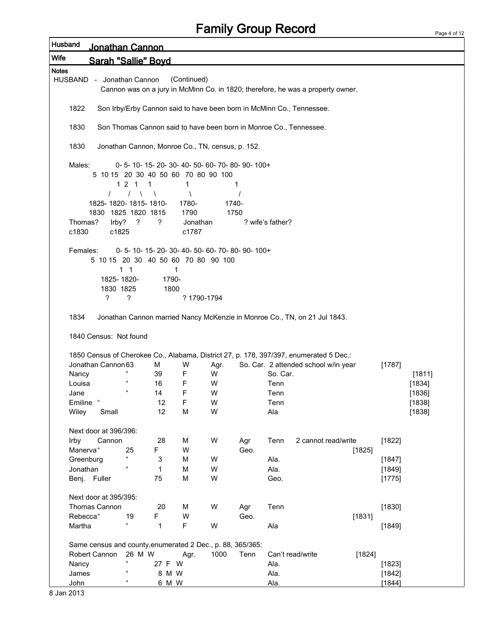| Husband      |             | <u> Jonathan Cannon</u>                                    |                            |            |             |                                                  |      |                  |                                                                                        |        |        |
|--------------|-------------|------------------------------------------------------------|----------------------------|------------|-------------|--------------------------------------------------|------|------------------|----------------------------------------------------------------------------------------|--------|--------|
| <b>Wife</b>  |             | Sarah "Sallie" Bovd                                        |                            |            |             |                                                  |      |                  |                                                                                        |        |        |
| <b>Notes</b> |             |                                                            |                            |            |             |                                                  |      |                  |                                                                                        |        |        |
|              |             | HUSBAND - Jonathan Cannon                                  |                            |            | (Continued) |                                                  |      |                  | Cannon was on a jury in McMinn Co. in 1820; therefore, he was a property owner.        |        |        |
|              | 1822        |                                                            |                            |            |             |                                                  |      |                  | Son Irby/Erby Cannon said to have been born in McMinn Co., Tennessee.                  |        |        |
|              | 1830        |                                                            |                            |            |             |                                                  |      |                  | Son Thomas Cannon said to have been born in Monroe Co., Tennessee.                     |        |        |
|              | 1830        |                                                            |                            |            |             | Jonathan Cannon, Monroe Co., TN, census, p. 152. |      |                  |                                                                                        |        |        |
|              | Males:      |                                                            |                            |            |             | 0-5-10-15-20-30-40-50-60-70-80-90-100+           |      |                  |                                                                                        |        |        |
|              |             | 5 10 15 20 30 40 50 60 70 80 90 100                        |                            |            |             |                                                  |      |                  |                                                                                        |        |        |
|              |             |                                                            | 1 2 1 1                    |            | 1           |                                                  | 1    |                  |                                                                                        |        |        |
|              |             |                                                            | $\sqrt{ }$                 | $\sqrt{2}$ | Λ           |                                                  |      |                  |                                                                                        |        |        |
|              |             | 1825-1820-1815-1810-                                       |                            |            | 1780-       | 1740-                                            |      |                  |                                                                                        |        |        |
|              |             | 1830 1825 1820 1815                                        |                            |            | 1790        | 1750                                             |      |                  |                                                                                        |        |        |
|              | Thomas?     | Irby?                                                      | ?                          | ?          | Jonathan    |                                                  |      | ? wife's father? |                                                                                        |        |        |
|              | c1830       | c1825                                                      |                            |            | c1787       |                                                  |      |                  |                                                                                        |        |        |
|              |             |                                                            |                            |            |             | 0-5-10-15-20-30-40-50-60-70-80-90-100+           |      |                  |                                                                                        |        |        |
|              | Females:    |                                                            |                            |            |             | 5 10 15 20 30 40 50 60 70 80 90 100              |      |                  |                                                                                        |        |        |
|              |             |                                                            | $1 \quad 1$                |            | 1           |                                                  |      |                  |                                                                                        |        |        |
|              |             | 1825-1820-                                                 |                            | 1790-      |             |                                                  |      |                  |                                                                                        |        |        |
|              |             | 1830 1825                                                  |                            | 1800       |             |                                                  |      |                  |                                                                                        |        |        |
|              |             | ?                                                          | ?                          |            | ? 1790-1794 |                                                  |      |                  |                                                                                        |        |        |
|              |             |                                                            |                            |            |             |                                                  |      |                  |                                                                                        |        |        |
|              | 1834        |                                                            |                            |            |             |                                                  |      |                  | Jonathan Cannon married Nancy McKenzie in Monroe Co., TN, on 21 Jul 1843.              |        |        |
|              |             |                                                            |                            |            |             |                                                  |      |                  |                                                                                        |        |        |
|              |             | 1840 Census: Not found                                     |                            |            |             |                                                  |      |                  |                                                                                        |        |        |
|              |             |                                                            |                            |            |             |                                                  |      |                  |                                                                                        |        |        |
|              |             |                                                            |                            |            |             |                                                  |      |                  | 1850 Census of Cherokee Co., Alabama, District 27, p. 178, 397/397, enumerated 5 Dec.: |        |        |
|              |             | Jonathan Cannon 63                                         |                            | м          | W           | Agr.                                             |      |                  | So. Car. 2 attended school w/in year                                                   | [1787] |        |
|              | Nancy       |                                                            |                            | 39         | F           | W                                                |      | So. Car.         |                                                                                        |        | [1811] |
|              | Louisa      |                                                            |                            | 16         | F           | W                                                |      | Tenn             |                                                                                        |        | [1834] |
|              | Jane        |                                                            | $\epsilon\epsilon$         | 14         | F           | W                                                |      | Tenn             |                                                                                        |        | [1836] |
|              | Emiline     | $\mathfrak{c}\mathfrak{c}$                                 |                            | 12         | F           | W                                                |      | Tenn             |                                                                                        |        | [1838] |
|              | Wiley       | Small                                                      |                            | 12         | M           | W                                                |      | Ala              |                                                                                        |        | [1838] |
|              |             |                                                            |                            |            |             |                                                  |      |                  |                                                                                        |        |        |
|              |             | Next door at 396/396:                                      |                            |            |             |                                                  |      |                  |                                                                                        |        |        |
|              | Irby        | Cannon                                                     |                            | 28         | M           | W                                                | Agr  | Tenn             | 2 cannot read/write                                                                    | [1822] |        |
|              | Manerva"    |                                                            | 25                         | F.         | W           |                                                  | Geo. |                  | [1825]                                                                                 |        |        |
|              | Greenburg   |                                                            |                            | 3          | M           | W                                                |      | Ala.             |                                                                                        | [1847] |        |
|              | Jonathan    |                                                            |                            | 1          | M           | W                                                |      | Ala.             |                                                                                        | [1849] |        |
|              |             | Benj. Fuller                                               |                            | 75         | M           | W                                                |      | Geo.             |                                                                                        | [1775] |        |
|              |             |                                                            |                            |            |             |                                                  |      |                  |                                                                                        |        |        |
|              |             | Next door at 395/395:                                      |                            |            |             |                                                  |      |                  |                                                                                        |        |        |
|              |             | Thomas Cannon                                              |                            | 20         | M           | W                                                | Agr  | Tenn             |                                                                                        | [1830] |        |
|              | Rebecca"    |                                                            | 19                         | F.         | W           |                                                  | Geo. |                  | [1831]                                                                                 |        |        |
|              | Martha      |                                                            | $\mathfrak{c}\mathfrak{c}$ | 1          | F           | W                                                |      | Ala              |                                                                                        | [1849] |        |
|              |             |                                                            |                            |            |             |                                                  |      |                  |                                                                                        |        |        |
|              |             | Same census and county, enumerated 2 Dec., p. 88, 365/365: |                            |            |             |                                                  |      |                  |                                                                                        |        |        |
|              |             | Robert Cannon                                              | 26 M W<br>$\epsilon$       |            | Agr.        | 1000                                             | Tenn |                  | Can't read/write<br>[1824]                                                             |        |        |
|              | Nancy       |                                                            | $\epsilon\epsilon$         | 27 F W     |             |                                                  |      | Ala.             |                                                                                        | [1823] |        |
|              | James       |                                                            |                            | 8 M W      |             |                                                  |      | Ala.             |                                                                                        | [1842] |        |
|              | <b>John</b> |                                                            | $\epsilon\epsilon$         | 6 M W      |             |                                                  |      | Ala.             |                                                                                        | [1844] |        |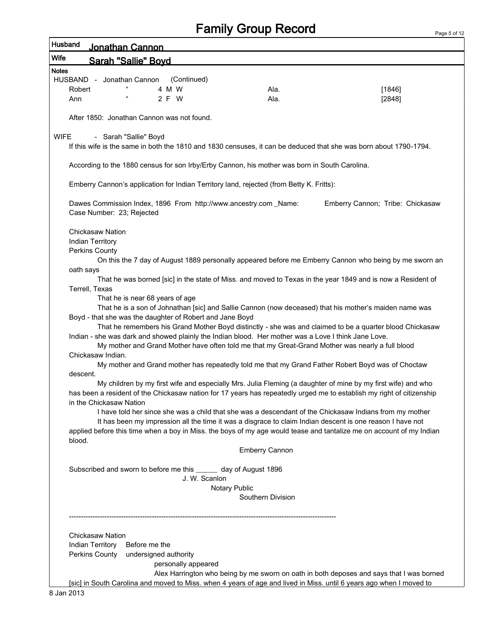Page 5 of 12

| Husband      | Jonathan Cannon                                                                                                                                                                                                                   |                       |                                                                                                        |
|--------------|-----------------------------------------------------------------------------------------------------------------------------------------------------------------------------------------------------------------------------------|-----------------------|--------------------------------------------------------------------------------------------------------|
| <b>Wife</b>  | <b>Sarah "Sallie" Boyd</b>                                                                                                                                                                                                        |                       |                                                                                                        |
| <b>Notes</b> |                                                                                                                                                                                                                                   |                       |                                                                                                        |
| Robert       | HUSBAND - Jonathan Cannon<br>(Continued)<br>4 M W                                                                                                                                                                                 | Ala.                  | [1846]                                                                                                 |
| Ann          | 2 F W                                                                                                                                                                                                                             | Ala.                  | [2848]                                                                                                 |
|              |                                                                                                                                                                                                                                   |                       |                                                                                                        |
|              | After 1850: Jonathan Cannon was not found.                                                                                                                                                                                        |                       |                                                                                                        |
| <b>WIFE</b>  | - Sarah "Sallie" Boyd                                                                                                                                                                                                             |                       |                                                                                                        |
|              | If this wife is the same in both the 1810 and 1830 censuses, it can be deduced that she was born about 1790-1794.                                                                                                                 |                       |                                                                                                        |
|              | According to the 1880 census for son Irby/Erby Cannon, his mother was born in South Carolina.                                                                                                                                     |                       |                                                                                                        |
|              | Emberry Cannon's application for Indian Territory land, rejected (from Betty K. Fritts):                                                                                                                                          |                       |                                                                                                        |
|              | Dawes Commission Index, 1896 From http://www.ancestry.com _Name:<br>Case Number: 23; Rejected                                                                                                                                     |                       | Emberry Cannon; Tribe: Chickasaw                                                                       |
|              | <b>Chickasaw Nation</b>                                                                                                                                                                                                           |                       |                                                                                                        |
|              | <b>Indian Territory</b>                                                                                                                                                                                                           |                       |                                                                                                        |
|              | Perkins County                                                                                                                                                                                                                    |                       | On this the 7 day of August 1889 personally appeared before me Emberry Cannon who being by me sworn an |
| oath says    |                                                                                                                                                                                                                                   |                       |                                                                                                        |
|              | That he was borned [sic] in the state of Miss. and moved to Texas in the year 1849 and is now a Resident of                                                                                                                       |                       |                                                                                                        |
|              | Terrell, Texas                                                                                                                                                                                                                    |                       |                                                                                                        |
|              | That he is near 68 years of age                                                                                                                                                                                                   |                       |                                                                                                        |
|              | That he is a son of Johnathan [sic] and Sallie Cannon (now deceased) that his mother's maiden name was<br>Boyd - that she was the daughter of Robert and Jane Boyd                                                                |                       |                                                                                                        |
|              | That he remembers his Grand Mother Boyd distinctly - she was and claimed to be a quarter blood Chickasaw                                                                                                                          |                       |                                                                                                        |
|              | Indian - she was dark and showed plainly the Indian blood. Her mother was a Love I think Jane Love.                                                                                                                               |                       |                                                                                                        |
|              | My mother and Grand Mother have often told me that my Great-Grand Mother was nearly a full blood                                                                                                                                  |                       |                                                                                                        |
|              | Chickasaw Indian.                                                                                                                                                                                                                 |                       |                                                                                                        |
| descent.     | My mother and Grand mother has repeatedly told me that my Grand Father Robert Boyd was of Choctaw                                                                                                                                 |                       |                                                                                                        |
|              | My children by my first wife and especially Mrs. Julia Fleming (a daughter of mine by my first wife) and who                                                                                                                      |                       |                                                                                                        |
|              | has been a resident of the Chickasaw nation for 17 years has repeatedly urged me to establish my right of citizenship                                                                                                             |                       |                                                                                                        |
|              | in the Chickasaw Nation                                                                                                                                                                                                           |                       |                                                                                                        |
|              | I have told her since she was a child that she was a descendant of the Chickasaw Indians from my mother                                                                                                                           |                       |                                                                                                        |
|              | It has been my impression all the time it was a disgrace to claim Indian descent is one reason I have not<br>applied before this time when a boy in Miss. the boys of my age would tease and tantalize me on account of my Indian |                       |                                                                                                        |
| blood.       |                                                                                                                                                                                                                                   |                       |                                                                                                        |
|              |                                                                                                                                                                                                                                   | <b>Emberry Cannon</b> |                                                                                                        |
|              | Subscribed and sworn to before me this _______ day of August 1896                                                                                                                                                                 |                       |                                                                                                        |
|              | J. W. Scanlon                                                                                                                                                                                                                     |                       |                                                                                                        |
|              |                                                                                                                                                                                                                                   | Notary Public         |                                                                                                        |
|              |                                                                                                                                                                                                                                   | Southern Division     |                                                                                                        |
|              |                                                                                                                                                                                                                                   |                       |                                                                                                        |
|              | Chickasaw Nation                                                                                                                                                                                                                  |                       |                                                                                                        |
|              | Indian Territory<br>Before me the                                                                                                                                                                                                 |                       |                                                                                                        |
|              | Perkins County<br>undersigned authority                                                                                                                                                                                           |                       |                                                                                                        |
|              | personally appeared                                                                                                                                                                                                               |                       |                                                                                                        |
|              | [sic] in South Carolina and moved to Miss. when 4 years of age and lived in Miss. until 6 years ago when I moved to                                                                                                               |                       | Alex Harrington who being by me sworn on oath in both deposes and says that I was borned               |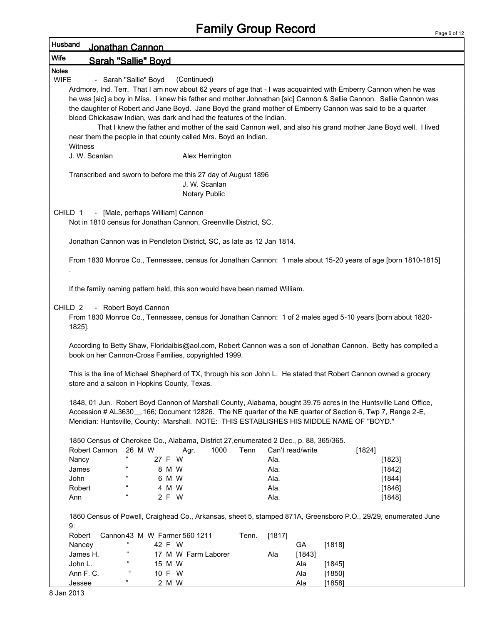| Husband      |                                              | Jonathan Cannon              |                                  |                                                                                           |       |        |                  |        |                                                                                                                                                                                                                                                                                                                                                                                                                                                                      |
|--------------|----------------------------------------------|------------------------------|----------------------------------|-------------------------------------------------------------------------------------------|-------|--------|------------------|--------|----------------------------------------------------------------------------------------------------------------------------------------------------------------------------------------------------------------------------------------------------------------------------------------------------------------------------------------------------------------------------------------------------------------------------------------------------------------------|
| <b>Wife</b>  |                                              | Sarah "Sallie" Boyd          |                                  |                                                                                           |       |        |                  |        |                                                                                                                                                                                                                                                                                                                                                                                                                                                                      |
| <b>Notes</b> |                                              |                              |                                  |                                                                                           |       |        |                  |        |                                                                                                                                                                                                                                                                                                                                                                                                                                                                      |
| <b>WIFE</b>  |                                              | - Sarah "Sallie" Boyd        |                                  | (Continued)                                                                               |       |        |                  |        |                                                                                                                                                                                                                                                                                                                                                                                                                                                                      |
|              |                                              |                              |                                  | blood Chickasaw Indian, was dark and had the features of the Indian.                      |       |        |                  |        | Ardmore, Ind. Terr. That I am now about 62 years of age that - I was acquainted with Emberry Cannon when he was<br>he was [sic] a boy in Miss. I knew his father and mother Johnathan [sic] Cannon & Sallie Cannon. Sallie Cannon was<br>the daughter of Robert and Jane Boyd. Jane Boyd the grand mother of Emberry Cannon was said to be a quarter<br>That I knew the father and mother of the said Cannon well, and also his grand mother Jane Boyd well. I lived |
|              | Witness                                      |                              |                                  | near them the people in that county called Mrs. Boyd an Indian.                           |       |        |                  |        |                                                                                                                                                                                                                                                                                                                                                                                                                                                                      |
|              | J. W. Scanlan                                |                              |                                  | Alex Herrington                                                                           |       |        |                  |        |                                                                                                                                                                                                                                                                                                                                                                                                                                                                      |
|              |                                              |                              |                                  | Transcribed and sworn to before me this 27 day of August 1896<br>J. W. Scanlan            |       |        |                  |        |                                                                                                                                                                                                                                                                                                                                                                                                                                                                      |
|              |                                              |                              |                                  | <b>Notary Public</b>                                                                      |       |        |                  |        |                                                                                                                                                                                                                                                                                                                                                                                                                                                                      |
|              | CHILD 1                                      |                              | - [Male, perhaps William] Cannon | Not in 1810 census for Jonathan Cannon, Greenville District, SC.                          |       |        |                  |        |                                                                                                                                                                                                                                                                                                                                                                                                                                                                      |
|              |                                              |                              |                                  | Jonathan Cannon was in Pendleton District, SC, as late as 12 Jan 1814.                    |       |        |                  |        |                                                                                                                                                                                                                                                                                                                                                                                                                                                                      |
|              |                                              |                              |                                  |                                                                                           |       |        |                  |        | From 1830 Monroe Co., Tennessee, census for Jonathan Cannon: 1 male about 15-20 years of age [born 1810-1815]                                                                                                                                                                                                                                                                                                                                                        |
|              |                                              |                              |                                  | If the family naming pattern held, this son would have been named William.                |       |        |                  |        |                                                                                                                                                                                                                                                                                                                                                                                                                                                                      |
|              | CHILD <sub>2</sub><br>1825].                 | - Robert Boyd Cannon         |                                  |                                                                                           |       |        |                  |        | From 1830 Monroe Co., Tennessee, census for Jonathan Cannon: 1 of 2 males aged 5-10 years [born about 1820-                                                                                                                                                                                                                                                                                                                                                          |
|              |                                              |                              |                                  | book on her Cannon-Cross Families, copyrighted 1999.                                      |       |        |                  |        | According to Betty Shaw, Floridaibis@aol.com, Robert Cannon was a son of Jonathan Cannon. Betty has compiled a                                                                                                                                                                                                                                                                                                                                                       |
|              | store and a saloon in Hopkins County, Texas. |                              |                                  |                                                                                           |       |        |                  |        | This is the line of Michael Shepherd of TX, through his son John L. He stated that Robert Cannon owned a grocery                                                                                                                                                                                                                                                                                                                                                     |
|              |                                              |                              |                                  | Meridian: Huntsville, County: Marshall. NOTE: THIS ESTABLISHES HIS MIDDLE NAME OF "BOYD." |       |        |                  |        | 1848, 01 Jun. Robert Boyd Cannon of Marshall County, Alabama, bought 39.75 acres in the Huntsville Land Office,<br>Accession # AL3630__.166; Document 12826. The NE quarter of the NE quarter of Section 6, Twp 7, Range 2-E,                                                                                                                                                                                                                                        |
|              |                                              |                              |                                  | 1850 Census of Cherokee Co., Alabama, District 27, enumerated 2 Dec., p. 88, 365/365.     |       |        |                  |        |                                                                                                                                                                                                                                                                                                                                                                                                                                                                      |
|              | Robert Cannon                                | 26 M W<br>$\epsilon\epsilon$ |                                  | 1000<br>Agr.                                                                              | Tenn  |        | Can't read/write |        | [1824]                                                                                                                                                                                                                                                                                                                                                                                                                                                               |
|              | Nancy                                        | $\epsilon\epsilon$           | 27 F W                           |                                                                                           |       | Ala.   |                  |        | [1823]                                                                                                                                                                                                                                                                                                                                                                                                                                                               |
|              | James                                        |                              | 8 M W                            |                                                                                           |       | Ala.   |                  |        | $[1842]$                                                                                                                                                                                                                                                                                                                                                                                                                                                             |
|              | John                                         |                              | 6 M W                            |                                                                                           |       | Ala.   |                  |        | [1844]                                                                                                                                                                                                                                                                                                                                                                                                                                                               |
|              | Robert                                       | ſ                            | 4 M W                            |                                                                                           |       | Ala.   |                  |        | [1846]                                                                                                                                                                                                                                                                                                                                                                                                                                                               |
|              | Ann                                          |                              | 2 F W                            |                                                                                           |       | Ala.   |                  |        | [1848]                                                                                                                                                                                                                                                                                                                                                                                                                                                               |
|              | 9:                                           |                              |                                  |                                                                                           |       |        |                  |        | 1860 Census of Powell, Craighead Co., Arkansas, sheet 5, stamped 871A, Greensboro P.O., 29/29, enumerated June                                                                                                                                                                                                                                                                                                                                                       |
|              | Robert                                       |                              | Cannon 43 M W Farmer 560 1211    |                                                                                           | Tenn. |        |                  |        |                                                                                                                                                                                                                                                                                                                                                                                                                                                                      |
|              | Nancey                                       | $\mathfrak{c}\mathfrak{c}$   | 42 F W                           |                                                                                           |       | [1817] | GA               | [1818] |                                                                                                                                                                                                                                                                                                                                                                                                                                                                      |
|              | James H.                                     |                              |                                  | 17 M W Farm Laborer                                                                       |       | Ala    | [1843]           |        |                                                                                                                                                                                                                                                                                                                                                                                                                                                                      |
|              | John L.                                      |                              | 15 M W                           |                                                                                           |       |        | Ala              | [1845] |                                                                                                                                                                                                                                                                                                                                                                                                                                                                      |
|              | Ann F. C.                                    |                              | 10 F W                           |                                                                                           |       |        | Ala              | [1850] |                                                                                                                                                                                                                                                                                                                                                                                                                                                                      |
|              | Jessee                                       | 99.                          | 2 M W                            |                                                                                           |       |        | Ala              | [1858] |                                                                                                                                                                                                                                                                                                                                                                                                                                                                      |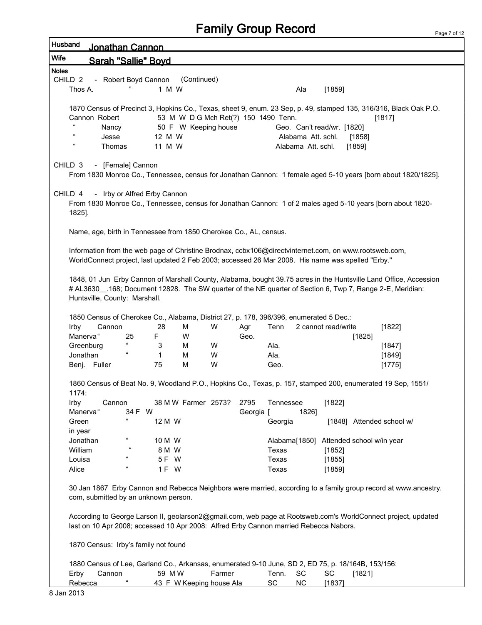| Husband            | <u>Jonathan Cannon</u>                                                                                |                              |              |                                      |        |           |           |                    |                            |                           |                                                                                                                   |
|--------------------|-------------------------------------------------------------------------------------------------------|------------------------------|--------------|--------------------------------------|--------|-----------|-----------|--------------------|----------------------------|---------------------------|-------------------------------------------------------------------------------------------------------------------|
| <b>Wife</b>        | <b>Sarah "Sallie" Boyd</b>                                                                            |                              |              |                                      |        |           |           |                    |                            |                           |                                                                                                                   |
| <b>Notes</b>       |                                                                                                       |                              |              |                                      |        |           |           |                    |                            |                           |                                                                                                                   |
| CHILD <sub>2</sub> |                                                                                                       | - Robert Boyd Cannon         |              | (Continued)                          |        |           |           |                    |                            |                           |                                                                                                                   |
| Thos A.            |                                                                                                       |                              | 1 M W        |                                      |        |           |           | Ala                | [1859]                     |                           |                                                                                                                   |
|                    |                                                                                                       |                              |              |                                      |        |           |           |                    |                            |                           |                                                                                                                   |
|                    |                                                                                                       |                              |              |                                      |        |           |           |                    |                            |                           | 1870 Census of Precinct 3, Hopkins Co., Texas, sheet 9, enum. 23 Sep, p. 49, stamped 135, 316/316, Black Oak P.O. |
|                    | Cannon Robert                                                                                         |                              |              | 53 M W D G Mch Ret(?) 150 1490 Tenn. |        |           |           |                    |                            |                           | [1817]                                                                                                            |
|                    | Nancy                                                                                                 |                              |              | 50 F W Keeping house                 |        |           |           |                    | Geo. Can't read/wr. [1820] |                           |                                                                                                                   |
|                    | Jesse                                                                                                 |                              | 12 M W       |                                      |        |           |           | Alabama Att. schl. |                            | [1858]                    |                                                                                                                   |
|                    | Thomas                                                                                                |                              | 11 M W       |                                      |        |           |           | Alabama Att. schl. |                            | $[1859]$                  |                                                                                                                   |
|                    |                                                                                                       |                              |              |                                      |        |           |           |                    |                            |                           |                                                                                                                   |
| CHILD <sub>3</sub> |                                                                                                       | - [Female] Cannon            |              |                                      |        |           |           |                    |                            |                           |                                                                                                                   |
|                    |                                                                                                       |                              |              |                                      |        |           |           |                    |                            |                           | From 1830 Monroe Co., Tennessee, census for Jonathan Cannon: 1 female aged 5-10 years [born about 1820/1825].     |
|                    |                                                                                                       |                              |              |                                      |        |           |           |                    |                            |                           |                                                                                                                   |
| CHILD 4            |                                                                                                       | - Irby or Alfred Erby Cannon |              |                                      |        |           |           |                    |                            |                           |                                                                                                                   |
|                    |                                                                                                       |                              |              |                                      |        |           |           |                    |                            |                           | From 1830 Monroe Co., Tennessee, census for Jonathan Cannon: 1 of 2 males aged 5-10 years [born about 1820-       |
| 1825].             |                                                                                                       |                              |              |                                      |        |           |           |                    |                            |                           |                                                                                                                   |
|                    | Name, age, birth in Tennessee from 1850 Cherokee Co., AL, census.                                     |                              |              |                                      |        |           |           |                    |                            |                           |                                                                                                                   |
|                    |                                                                                                       |                              |              |                                      |        |           |           |                    |                            |                           |                                                                                                                   |
|                    | Information from the web page of Christine Brodnax, ccbx106@directvinternet.com, on www.rootsweb.com, |                              |              |                                      |        |           |           |                    |                            |                           |                                                                                                                   |
|                    | WorldConnect project, last updated 2 Feb 2003; accessed 26 Mar 2008. His name was spelled "Erby."     |                              |              |                                      |        |           |           |                    |                            |                           |                                                                                                                   |
|                    |                                                                                                       |                              |              |                                      |        |           |           |                    |                            |                           |                                                                                                                   |
|                    |                                                                                                       |                              |              |                                      |        |           |           |                    |                            |                           | 1848, 01 Jun Erby Cannon of Marshall County, Alabama, bought 39.75 acres in the Huntsville Land Office, Accession |
|                    |                                                                                                       |                              |              |                                      |        |           |           |                    |                            |                           | # AL3630_.168; Document 12828. The SW quarter of the NE quarter of Section 6, Twp 7, Range 2-E, Meridian:         |
|                    | Huntsville, County: Marshall.                                                                         |                              |              |                                      |        |           |           |                    |                            |                           |                                                                                                                   |
|                    |                                                                                                       |                              |              |                                      |        |           |           |                    |                            |                           |                                                                                                                   |
|                    | 1850 Census of Cherokee Co., Alabama, District 27, p. 178, 396/396, enumerated 5 Dec.:                |                              |              |                                      |        |           |           |                    |                            |                           |                                                                                                                   |
| Irby               | Cannon                                                                                                |                              | 28           | М                                    | W      | Agr       | Tenn      |                    | 2 cannot read/write        |                           | $[1822]$                                                                                                          |
|                    | Manerva"                                                                                              | 25                           | F.           | W                                    |        | Geo.      |           |                    |                            | [1825]                    |                                                                                                                   |
|                    | Greenburg                                                                                             |                              | 3            | м                                    | W      |           | Ala.      |                    |                            |                           | [1847]                                                                                                            |
|                    | Jonathan                                                                                              |                              | $\mathbf{1}$ | M                                    | W      |           | Ala.      |                    |                            |                           | [1849]                                                                                                            |
|                    | Benj. Fuller                                                                                          |                              | 75           | M                                    | W      |           | Geo.      |                    |                            |                           | [1775]                                                                                                            |
|                    |                                                                                                       |                              |              |                                      |        |           |           |                    |                            |                           |                                                                                                                   |
|                    |                                                                                                       |                              |              |                                      |        |           |           |                    |                            |                           | 1860 Census of Beat No. 9, Woodland P.O., Hopkins Co., Texas, p. 157, stamped 200, enumerated 19 Sep, 1551/       |
| 1174:              |                                                                                                       |                              |              |                                      |        |           |           |                    |                            |                           |                                                                                                                   |
| Irby               | Cannon                                                                                                |                              |              | 38 M W Farmer 2573?                  |        | 2795      | Tennessee |                    | [1822]                     |                           |                                                                                                                   |
|                    | Manerva"                                                                                              | 34 F W                       |              |                                      |        | Georgia [ |           | 1826]              |                            |                           |                                                                                                                   |
| Green              |                                                                                                       | $\epsilon$                   | 12 M W       |                                      |        |           | Georgia   |                    |                            |                           | [1848] Attended school w/                                                                                         |
| in year            |                                                                                                       |                              |              |                                      |        |           |           |                    |                            |                           |                                                                                                                   |
|                    | Jonathan                                                                                              | $\mathfrak{c}\mathfrak{c}$   | 10 M W       |                                      |        |           |           | Alabama[1850]      |                            | Attended school w/in year |                                                                                                                   |
| William            |                                                                                                       |                              | 8 M W        |                                      |        |           | Texas     |                    | [1852]                     |                           |                                                                                                                   |
| Louisa             |                                                                                                       |                              | 5 F W        |                                      |        |           | Texas     |                    | [1855]                     |                           |                                                                                                                   |
| Alice              |                                                                                                       |                              | 1 F W        |                                      |        |           | Texas     |                    | [1859]                     |                           |                                                                                                                   |
|                    |                                                                                                       |                              |              |                                      |        |           |           |                    |                            |                           |                                                                                                                   |
|                    |                                                                                                       |                              |              |                                      |        |           |           |                    |                            |                           | 30 Jan 1867 Erby Cannon and Rebecca Neighbors were married, according to a family group record at www.ancestry.   |
|                    | com, submitted by an unknown person.                                                                  |                              |              |                                      |        |           |           |                    |                            |                           |                                                                                                                   |
|                    |                                                                                                       |                              |              |                                      |        |           |           |                    |                            |                           |                                                                                                                   |
|                    |                                                                                                       |                              |              |                                      |        |           |           |                    |                            |                           | According to George Larson II, geolarson2@gmail.com, web page at Rootsweb.com's WorldConnect project, updated     |
|                    | last on 10 Apr 2008; accessed 10 Apr 2008: Alfred Erby Cannon married Rebecca Nabors.                 |                              |              |                                      |        |           |           |                    |                            |                           |                                                                                                                   |
|                    |                                                                                                       |                              |              |                                      |        |           |           |                    |                            |                           |                                                                                                                   |
|                    | 1870 Census: Irby's family not found                                                                  |                              |              |                                      |        |           |           |                    |                            |                           |                                                                                                                   |
|                    |                                                                                                       |                              |              |                                      |        |           |           |                    |                            |                           |                                                                                                                   |
|                    | 1880 Census of Lee, Garland Co., Arkansas, enumerated 9-10 June, SD 2, ED 75, p. 18/164B, 153/156:    |                              |              |                                      |        |           |           |                    |                            |                           |                                                                                                                   |
| Erby               | Cannon                                                                                                |                              | 59 M W       |                                      | Farmer |           | Tenn.     | SC                 | SC                         | [1821]                    |                                                                                                                   |
|                    | Rebecca                                                                                               |                              |              | 43 F W Keeping house Ala             |        |           | <b>SC</b> | NC                 | [1837]                     |                           |                                                                                                                   |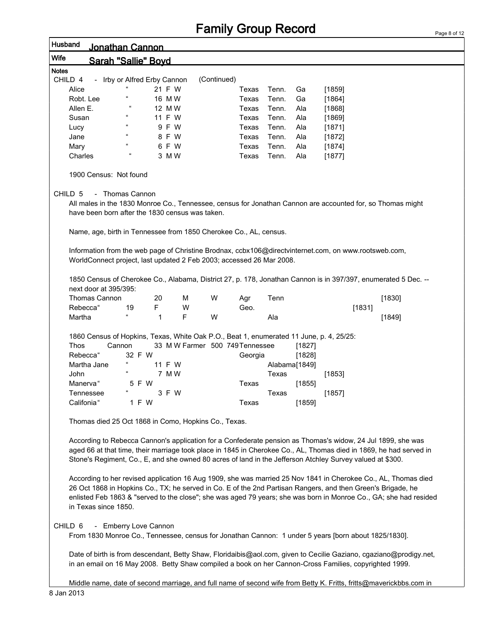|              |                                                                      |                            |                              |                                 |             | i anniy Oloup I www.u |       |               |                                                                                                                    |        | Page 8 of |
|--------------|----------------------------------------------------------------------|----------------------------|------------------------------|---------------------------------|-------------|-----------------------|-------|---------------|--------------------------------------------------------------------------------------------------------------------|--------|-----------|
| Husband      | <u> Jonathan Cannon</u>                                              |                            |                              |                                 |             |                       |       |               |                                                                                                                    |        |           |
| Wife         | <b>Sarah "Sallie" Bovd</b>                                           |                            |                              |                                 |             |                       |       |               |                                                                                                                    |        |           |
| <b>Notes</b> |                                                                      |                            |                              |                                 |             |                       |       |               |                                                                                                                    |        |           |
| CHILD 4      |                                                                      |                            | - Irby or Alfred Erby Cannon |                                 | (Continued) |                       |       |               |                                                                                                                    |        |           |
| Alice        |                                                                      | $\mathfrak{c}\mathfrak{c}$ | 21 F W                       |                                 |             | Texas                 | Tenn. | Ga            | $[1859]$                                                                                                           |        |           |
|              | Robt. Lee                                                            |                            | 16 M W                       |                                 |             | Texas                 | Tenn. | Ga            | [1864]                                                                                                             |        |           |
| Allen E.     |                                                                      | $\epsilon$                 | 12 M W                       |                                 |             | Texas                 | Tenn. | Ala           | [1868]                                                                                                             |        |           |
| Susan        |                                                                      | $\mathfrak{c}\mathfrak{c}$ | 11 F W                       |                                 |             | Texas                 | Tenn. | Ala           | [1869]                                                                                                             |        |           |
| Lucy         |                                                                      | $\epsilon\epsilon$         | 9 F W                        |                                 |             | Texas                 | Tenn. | Ala           | [1871]                                                                                                             |        |           |
| Jane         |                                                                      | $\epsilon\epsilon$         | 8 F W                        |                                 |             | Texas                 | Tenn. | Ala           | [1872]                                                                                                             |        |           |
| Mary         |                                                                      | $\mathfrak{c}\mathfrak{c}$ | 6 F W                        |                                 |             | Texas                 | Tenn. | Ala           | [1874]                                                                                                             |        |           |
| Charles      |                                                                      | $\epsilon$                 | 3 M W                        |                                 |             | Texas                 | Tenn. | Ala           | [1877]                                                                                                             |        |           |
|              | 1900 Census: Not found                                               |                            |                              |                                 |             |                       |       |               |                                                                                                                    |        |           |
| CHILD 5      | - Thomas Cannon                                                      |                            |                              |                                 |             |                       |       |               |                                                                                                                    |        |           |
|              |                                                                      |                            |                              |                                 |             |                       |       |               | All males in the 1830 Monroe Co., Tennessee, census for Jonathan Cannon are accounted for, so Thomas might         |        |           |
|              | have been born after the 1830 census was taken.                      |                            |                              |                                 |             |                       |       |               |                                                                                                                    |        |           |
|              |                                                                      |                            |                              |                                 |             |                       |       |               |                                                                                                                    |        |           |
|              | Name, age, birth in Tennessee from 1850 Cherokee Co., AL, census.    |                            |                              |                                 |             |                       |       |               |                                                                                                                    |        |           |
|              |                                                                      |                            |                              |                                 |             |                       |       |               |                                                                                                                    |        |           |
|              |                                                                      |                            |                              |                                 |             |                       |       |               | Information from the web page of Christine Brodnax, ccbx106@directvinternet.com, on www.rootsweb.com,              |        |           |
|              | WorldConnect project, last updated 2 Feb 2003; accessed 26 Mar 2008. |                            |                              |                                 |             |                       |       |               |                                                                                                                    |        |           |
|              |                                                                      |                            |                              |                                 |             |                       |       |               |                                                                                                                    |        |           |
|              |                                                                      |                            |                              |                                 |             |                       |       |               | 1850 Census of Cherokee Co., Alabama, District 27, p. 178, Jonathan Cannon is in 397/397, enumerated 5 Dec. --     |        |           |
|              | next door at 395/395:                                                |                            |                              |                                 |             |                       |       |               |                                                                                                                    |        |           |
|              | Thomas Cannon                                                        |                            | 20                           | M                               | W           | Agr                   | Tenn  |               |                                                                                                                    | [1830] |           |
|              | Rebecca"                                                             | 19                         | F.                           | W                               |             | Geo.                  |       |               | [1831]                                                                                                             |        |           |
| Martha       |                                                                      |                            | 1                            | F                               | W           |                       | Ala   |               |                                                                                                                    | [1849] |           |
|              |                                                                      |                            |                              |                                 |             |                       |       |               | 1860 Census of Hopkins, Texas, White Oak P.O., Beat 1, enumerated 11 June, p. 4, 25/25:                            |        |           |
| <b>Thos</b>  | Cannon                                                               |                            |                              | 33 M W Farmer 500 749 Tennessee |             |                       |       | [1827]        |                                                                                                                    |        |           |
|              | Rebecca"                                                             | 32 F W                     |                              |                                 |             | Georgia               |       | [1828]        |                                                                                                                    |        |           |
|              | Martha Jane                                                          |                            | 11 F W                       |                                 |             |                       |       | Alabama[1849] |                                                                                                                    |        |           |
| John         |                                                                      |                            | 7 M W                        |                                 |             |                       | Texas |               | [1853]                                                                                                             |        |           |
|              | Manerva"                                                             | 5 F W                      |                              |                                 |             | Texas                 |       | [1855]        |                                                                                                                    |        |           |
|              |                                                                      |                            | 3 F W                        |                                 |             |                       | Texas |               |                                                                                                                    |        |           |
|              | Tennessee                                                            |                            |                              |                                 |             |                       |       |               | [1857]                                                                                                             |        |           |
|              | Califonia"                                                           | 1 F W                      |                              |                                 |             | Texas                 |       | [1859]        |                                                                                                                    |        |           |
|              | Thomas died 25 Oct 1868 in Como, Hopkins Co., Texas.                 |                            |                              |                                 |             |                       |       |               |                                                                                                                    |        |           |
|              |                                                                      |                            |                              |                                 |             |                       |       |               |                                                                                                                    |        |           |
|              |                                                                      |                            |                              |                                 |             |                       |       |               | According to Rebecca Cannon's application for a Confederate pension as Thomas's widow, 24 Jul 1899, she was        |        |           |
|              |                                                                      |                            |                              |                                 |             |                       |       |               | aged 66 at that time, their marriage took place in 1845 in Cherokee Co., AL, Thomas died in 1869, he had served in |        |           |
|              |                                                                      |                            |                              |                                 |             |                       |       |               | Stone's Regiment, Co., E, and she owned 80 acres of land in the Jefferson Atchley Survey valued at \$300.          |        |           |
|              |                                                                      |                            |                              |                                 |             |                       |       |               |                                                                                                                    |        |           |
|              |                                                                      |                            |                              |                                 |             |                       |       |               | According to her revised application 16 Aug 1909, she was married 25 Nov 1841 in Cherokee Co., AL, Thomas died     |        |           |
|              |                                                                      |                            |                              |                                 |             |                       |       |               | 26 Oct 1868 in Hopkins Co., TX; he served in Co. E of the 2nd Partisan Rangers, and then Green's Brigade, he       |        |           |
|              |                                                                      |                            |                              |                                 |             |                       |       |               | enlisted Feb 1863 & "served to the close"; she was aged 79 years; she was born in Monroe Co., GA; she had resided  |        |           |

CHILD 6 - Emberry Love Cannon

in Texas since 1850.

From 1830 Monroe Co., Tennessee, census for Jonathan Cannon: 1 under 5 years [born about 1825/1830].

Date of birth is from descendant, Betty Shaw, Floridaibis@aol.com, given to Cecilie Gaziano, cgaziano@prodigy.net, in an email on 16 May 2008. Betty Shaw compiled a book on her Cannon-Cross Families, copyrighted 1999.

Middle name, date of second marriage, and full name of second wife from Betty K. Fritts, fritts@maverickbbs.com in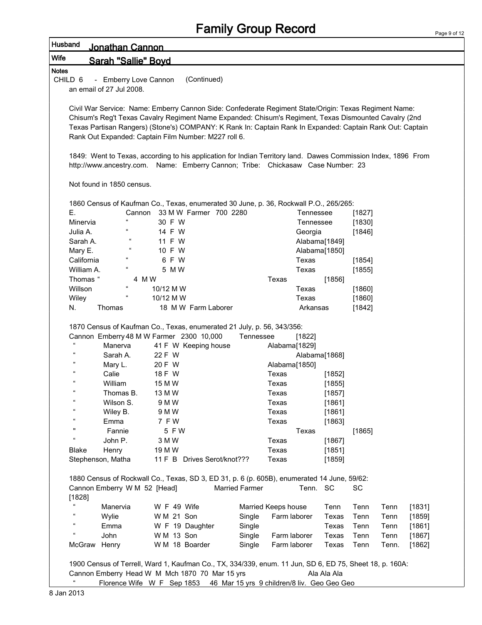| Page 9 of 12 |  |  |
|--------------|--|--|

| Husband                    | Jonathan Cannon              |                                                                                                                                                                                                   |                       |                     |                      |                  |                  |       |        |
|----------------------------|------------------------------|---------------------------------------------------------------------------------------------------------------------------------------------------------------------------------------------------|-----------------------|---------------------|----------------------|------------------|------------------|-------|--------|
| Wife                       | Sarah "Sallie" Bovd          |                                                                                                                                                                                                   |                       |                     |                      |                  |                  |       |        |
| <b>Notes</b>               |                              |                                                                                                                                                                                                   |                       |                     |                      |                  |                  |       |        |
| CHILD <sub>6</sub>         | - Emberry Love Cannon        | (Continued)                                                                                                                                                                                       |                       |                     |                      |                  |                  |       |        |
|                            | an email of 27 Jul 2008.     |                                                                                                                                                                                                   |                       |                     |                      |                  |                  |       |        |
|                            |                              |                                                                                                                                                                                                   |                       |                     |                      |                  |                  |       |        |
|                            |                              | Civil War Service: Name: Emberry Cannon Side: Confederate Regiment State/Origin: Texas Regiment Name:                                                                                             |                       |                     |                      |                  |                  |       |        |
|                            |                              | Chisum's Reg't Texas Cavalry Regiment Name Expanded: Chisum's Regiment, Texas Dismounted Cavalry (2nd                                                                                             |                       |                     |                      |                  |                  |       |        |
|                            |                              | Texas Partisan Rangers) (Stone's) COMPANY: K Rank In: Captain Rank In Expanded: Captain Rank Out: Captain                                                                                         |                       |                     |                      |                  |                  |       |        |
|                            |                              | Rank Out Expanded: Captain Film Number: M227 roll 6.                                                                                                                                              |                       |                     |                      |                  |                  |       |        |
|                            |                              |                                                                                                                                                                                                   |                       |                     |                      |                  |                  |       |        |
|                            |                              | 1849: Went to Texas, according to his application for Indian Territory land. Dawes Commission Index, 1896 From<br>http://www.ancestry.com. Name: Emberry Cannon; Tribe: Chickasaw Case Number: 23 |                       |                     |                      |                  |                  |       |        |
|                            |                              |                                                                                                                                                                                                   |                       |                     |                      |                  |                  |       |        |
|                            | Not found in 1850 census.    |                                                                                                                                                                                                   |                       |                     |                      |                  |                  |       |        |
|                            |                              |                                                                                                                                                                                                   |                       |                     |                      |                  |                  |       |        |
|                            |                              | 1860 Census of Kaufman Co., Texas, enumerated 30 June, p. 36, Rockwall P.O., 265/265:                                                                                                             |                       |                     |                      |                  |                  |       |        |
| Е.<br>Minervia             |                              | 33 M W Farmer 700 2280<br>Cannon<br>30 F W                                                                                                                                                        |                       |                     | Tennessee            |                  | [1827]           |       |        |
| Julia A.                   | $\epsilon$                   | 14 F W                                                                                                                                                                                            |                       |                     | Tennessee<br>Georgia |                  | [1830]<br>[1846] |       |        |
| Sarah A.                   |                              | 11 F W                                                                                                                                                                                            |                       |                     |                      | Alabama[1849]    |                  |       |        |
| Mary E.                    | $\epsilon\epsilon$           | 10 F W                                                                                                                                                                                            |                       |                     |                      | Alabama[1850]    |                  |       |        |
| California                 |                              | 6 F W                                                                                                                                                                                             |                       |                     | Texas                |                  | [1854]           |       |        |
| William A.                 | $\epsilon\epsilon$           | 5 M W                                                                                                                                                                                             |                       |                     | Texas                |                  | [1855]           |       |        |
| Thomas "                   |                              | 4 M W                                                                                                                                                                                             |                       | Texas               |                      | [1856]           |                  |       |        |
| Willson                    |                              | 10/12 M W                                                                                                                                                                                         |                       |                     | Texas                |                  | [1860]           |       |        |
| Wiley                      |                              | 10/12 M W                                                                                                                                                                                         |                       |                     | Texas                |                  | [1860]           |       |        |
| N.                         | Thomas                       | 18 M W Farm Laborer                                                                                                                                                                               |                       |                     | Arkansas             |                  | [1842]           |       |        |
|                            |                              |                                                                                                                                                                                                   |                       |                     |                      |                  |                  |       |        |
|                            |                              | 1870 Census of Kaufman Co., Texas, enumerated 21 July, p. 56, 343/356:                                                                                                                            |                       |                     |                      |                  |                  |       |        |
|                            |                              | Cannon Emberry 48 M W Farmer 2300 10,000                                                                                                                                                          | Tennessee             |                     | [1822]               |                  |                  |       |        |
| $\epsilon$                 | Manerva                      | 41 F W Keeping house                                                                                                                                                                              |                       | Alabama[1829]       |                      |                  |                  |       |        |
|                            | Sarah A.                     | 22 F W                                                                                                                                                                                            |                       |                     |                      | Alabama[1868]    |                  |       |        |
|                            | Mary L.                      | 20 F W                                                                                                                                                                                            |                       | Alabama[1850]       |                      |                  |                  |       |        |
|                            | Calie                        | 18 F W                                                                                                                                                                                            |                       | Texas               |                      | [1852]           |                  |       |        |
| $\epsilon$                 | William<br>Thomas B.         | 15 M W                                                                                                                                                                                            |                       | Texas               |                      | [1855]           |                  |       |        |
| $\mathfrak{c}\mathfrak{c}$ | Wilson S.                    | 13 M W<br>9 M W                                                                                                                                                                                   |                       | Texas<br>Texas      |                      | [1857]<br>[1861] |                  |       |        |
|                            | Wiley B.                     | 9 M W                                                                                                                                                                                             |                       | Texas               |                      | [1861]           |                  |       |        |
|                            | Emma                         | 7 F W                                                                                                                                                                                             |                       | Texas               |                      | [1863]           |                  |       |        |
| $\mathbf{u}$               | Fannie                       | 5 F W                                                                                                                                                                                             |                       |                     | Texas                |                  | [1865]           |       |        |
| $\alpha$                   | John P.                      | 3 M W                                                                                                                                                                                             |                       | Texas               |                      | [1867]           |                  |       |        |
| <b>Blake</b>               | Henry                        | 19 M W                                                                                                                                                                                            |                       | Texas               |                      | [1851]           |                  |       |        |
|                            | Stephenson, Matha            | 11 F B Drives Serot/knot???                                                                                                                                                                       |                       | Texas               |                      | [1859]           |                  |       |        |
|                            |                              | 1880 Census of Rockwall Co., Texas, SD 3, ED 31, p. 6 (p. 605B), enumerated 14 June, 59/62:                                                                                                       |                       |                     |                      |                  |                  |       |        |
|                            | Cannon Emberry W M 52 [Head] |                                                                                                                                                                                                   | <b>Married Farmer</b> |                     | Tenn. SC             |                  | SC               |       |        |
| [1828]                     |                              |                                                                                                                                                                                                   |                       |                     |                      |                  |                  |       |        |
| $\epsilon$                 | Manervia                     | W F 49 Wife                                                                                                                                                                                       |                       | Married Keeps house |                      | Tenn             | Tenn             | Tenn  | [1831] |
| $\epsilon$                 | Wylie                        | W M 21 Son                                                                                                                                                                                        | Single                | Farm laborer        |                      | Texas            | Tenn             | Tenn  | [1859] |
| $\epsilon$                 | Emma                         | W F 19 Daughter                                                                                                                                                                                   | Single                |                     |                      | Texas            | Tenn             | Tenn  | [1861] |
|                            | John                         | W M 13 Son                                                                                                                                                                                        | Single                | Farm laborer        |                      | Texas            | Tenn             | Tenn  | [1867] |
|                            | McGraw Henry                 | W M 18 Boarder                                                                                                                                                                                    | Single                | Farm laborer        |                      | Texas            | Tenn             | Tenn. | [1862] |
|                            |                              |                                                                                                                                                                                                   |                       |                     |                      |                  |                  |       |        |
|                            |                              | 1900 Census of Terrell, Ward 1, Kaufman Co., TX, 334/339, enum. 11 Jun, SD 6, ED 75, Sheet 18, p. 160A:                                                                                           |                       |                     |                      |                  |                  |       |        |
|                            |                              | Cannon Emberry Head W M Mch 1870 70 Mar 15 yrs                                                                                                                                                    |                       |                     |                      | Ala Ala Ala      |                  |       |        |
|                            |                              | Florence Wife W F Sep 1853 46 Mar 15 yrs 9 children/8 liv. Geo Geo Geo                                                                                                                            |                       |                     |                      |                  |                  |       |        |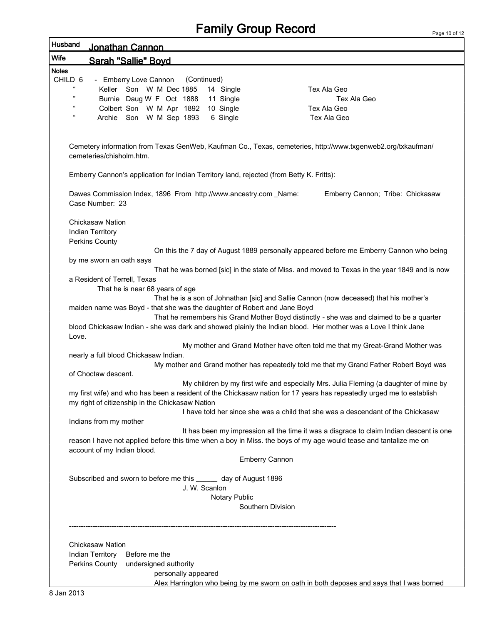Page 10 of 12

| Husband            | <u> Jonathan Cannon</u>                                                                                                                                                                                       |
|--------------------|---------------------------------------------------------------------------------------------------------------------------------------------------------------------------------------------------------------|
| Wife               | Sarah "Sallie" Bovd                                                                                                                                                                                           |
| <b>Notes</b>       |                                                                                                                                                                                                               |
| CHILD 6            | - Emberry Love Cannon<br>(Continued)                                                                                                                                                                          |
| "                  | Keller Son W M Dec 1885<br>Tex Ala Geo<br>14 Single                                                                                                                                                           |
| 99                 | Burnie Daug W F Oct 1888<br>11 Single<br>Tex Ala Geo                                                                                                                                                          |
| $\epsilon$         | Colbert Son W M Apr 1892<br>10 Single<br>Tex Ala Geo                                                                                                                                                          |
| $\epsilon\epsilon$ | Archie Son W M Sep 1893<br>6 Single<br>Tex Ala Geo                                                                                                                                                            |
|                    |                                                                                                                                                                                                               |
|                    | Cemetery information from Texas GenWeb, Kaufman Co., Texas, cemeteries, http://www.txgenweb2.org/txkaufman/<br>cemeteries/chisholm.htm.                                                                       |
|                    | Emberry Cannon's application for Indian Territory land, rejected (from Betty K. Fritts):                                                                                                                      |
|                    | Dawes Commission Index, 1896 From http://www.ancestry.com _Name:<br>Emberry Cannon; Tribe: Chickasaw<br>Case Number: 23                                                                                       |
|                    | <b>Chickasaw Nation</b>                                                                                                                                                                                       |
|                    | Indian Territory                                                                                                                                                                                              |
|                    | Perkins County                                                                                                                                                                                                |
|                    | On this the 7 day of August 1889 personally appeared before me Emberry Cannon who being                                                                                                                       |
|                    | by me sworn an oath says                                                                                                                                                                                      |
|                    | That he was borned [sic] in the state of Miss. and moved to Texas in the year 1849 and is now<br>a Resident of Terrell, Texas                                                                                 |
|                    | That he is near 68 years of age                                                                                                                                                                               |
|                    | That he is a son of Johnathan [sic] and Sallie Cannon (now deceased) that his mother's                                                                                                                        |
|                    | maiden name was Boyd - that she was the daughter of Robert and Jane Boyd                                                                                                                                      |
|                    | That he remembers his Grand Mother Boyd distinctly - she was and claimed to be a quarter                                                                                                                      |
| Love.              | blood Chickasaw Indian - she was dark and showed plainly the Indian blood. Her mother was a Love I think Jane                                                                                                 |
|                    | My mother and Grand Mother have often told me that my Great-Grand Mother was                                                                                                                                  |
|                    | nearly a full blood Chickasaw Indian.                                                                                                                                                                         |
|                    | My mother and Grand mother has repeatedly told me that my Grand Father Robert Boyd was                                                                                                                        |
|                    | of Choctaw descent.                                                                                                                                                                                           |
|                    | My children by my first wife and especially Mrs. Julia Fleming (a daughter of mine by<br>my first wife) and who has been a resident of the Chickasaw nation for 17 years has repeatedly urged me to establish |
|                    | my right of citizenship in the Chickasaw Nation                                                                                                                                                               |
|                    | I have told her since she was a child that she was a descendant of the Chickasaw                                                                                                                              |
|                    | Indians from my mother                                                                                                                                                                                        |
|                    | It has been my impression all the time it was a disgrace to claim Indian descent is one                                                                                                                       |
|                    | reason I have not applied before this time when a boy in Miss. the boys of my age would tease and tantalize me on<br>account of my Indian blood.                                                              |
|                    | <b>Emberry Cannon</b>                                                                                                                                                                                         |
|                    | Subscribed and sworn to before me this ______ day of August 1896                                                                                                                                              |
|                    | J. W. Scanlon                                                                                                                                                                                                 |
|                    | Notary Public                                                                                                                                                                                                 |
|                    | Southern Division                                                                                                                                                                                             |
|                    |                                                                                                                                                                                                               |
|                    |                                                                                                                                                                                                               |
|                    | Chickasaw Nation                                                                                                                                                                                              |
|                    | Indian Territory<br>Before me the                                                                                                                                                                             |
|                    | Perkins County<br>undersigned authority                                                                                                                                                                       |
|                    | personally appeared                                                                                                                                                                                           |
|                    | Alex Harrington who being by me sworn on oath in both deposes and says that I was borned                                                                                                                      |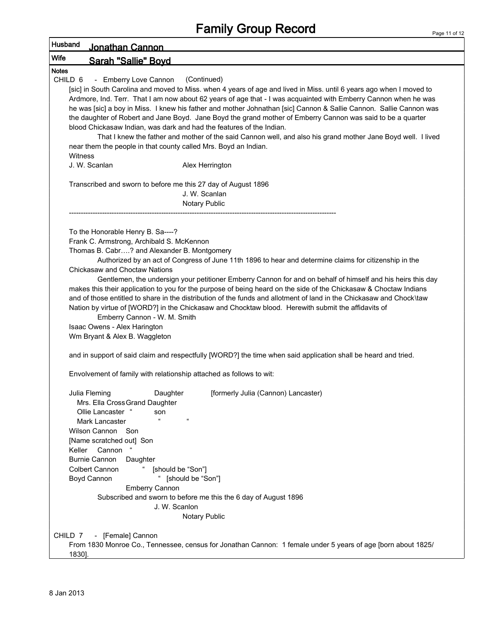| Husband<br>Jonathan Cannon                                                                                           |  |
|----------------------------------------------------------------------------------------------------------------------|--|
| <b>Wife</b><br><b>Sarah "Sallie" Boyd</b>                                                                            |  |
| <b>Notes</b>                                                                                                         |  |
| CHILD <sub>6</sub><br>- Emberry Love Cannon<br>(Continued)                                                           |  |
| [sic] in South Carolina and moved to Miss. when 4 years of age and lived in Miss. until 6 years ago when I moved to  |  |
| Ardmore, Ind. Terr. That I am now about 62 years of age that - I was acquainted with Emberry Cannon when he was      |  |
| he was [sic] a boy in Miss. I knew his father and mother Johnathan [sic] Cannon & Sallie Cannon. Sallie Cannon was   |  |
| the daughter of Robert and Jane Boyd. Jane Boyd the grand mother of Emberry Cannon was said to be a quarter          |  |
| blood Chickasaw Indian, was dark and had the features of the Indian.                                                 |  |
| That I knew the father and mother of the said Cannon well, and also his grand mother Jane Boyd well. I lived         |  |
| near them the people in that county called Mrs. Boyd an Indian.<br>Witness                                           |  |
| J. W. Scanlan<br>Alex Herrington                                                                                     |  |
|                                                                                                                      |  |
| Transcribed and sworn to before me this 27 day of August 1896                                                        |  |
| J. W. Scanlan                                                                                                        |  |
| Notary Public                                                                                                        |  |
|                                                                                                                      |  |
| To the Honorable Henry B. Sa----?                                                                                    |  |
| Frank C. Armstrong, Archibald S. McKennon                                                                            |  |
| Thomas B. Cabr? and Alexander B. Montgomery                                                                          |  |
| Authorized by an act of Congress of June 11th 1896 to hear and determine claims for citizenship in the               |  |
| <b>Chickasaw and Choctaw Nations</b>                                                                                 |  |
| Gentlemen, the undersign your petitioner Emberry Cannon for and on behalf of himself and his heirs this day          |  |
| makes this their application to you for the purpose of being heard on the side of the Chickasaw & Choctaw Indians    |  |
| and of those entitled to share in the distribution of the funds and allotment of land in the Chickasaw and Chock\taw |  |
| Nation by virtue of [WORD?] in the Chickasaw and Chocktaw blood. Herewith submit the affidavits of                   |  |
| Emberry Cannon - W. M. Smith                                                                                         |  |
| Isaac Owens - Alex Harington                                                                                         |  |
| Wm Bryant & Alex B. Waggleton                                                                                        |  |
| and in support of said claim and respectfully [WORD?] the time when said application shall be heard and tried.       |  |
| Envolvement of family with relationship attached as follows to wit:                                                  |  |
|                                                                                                                      |  |
| Julia Fleming<br>Daughter<br>[formerly Julia (Cannon) Lancaster)                                                     |  |
| Mrs. Ella Cross Grand Daughter                                                                                       |  |
| Ollie Lancaster "<br>son                                                                                             |  |
| $\alpha$<br>Mark Lancaster                                                                                           |  |
| Wilson Cannon<br>Son                                                                                                 |  |
| [Name scratched out] Son                                                                                             |  |
| Keller<br>Cannon                                                                                                     |  |
| <b>Burnie Cannon</b><br>Daughter                                                                                     |  |
| Colbert Cannon<br>[should be "Son"]                                                                                  |  |
| [should be "Son"]<br>Boyd Cannon                                                                                     |  |
| <b>Emberry Cannon</b>                                                                                                |  |
| Subscribed and sworn to before me this the 6 day of August 1896                                                      |  |
| J. W. Scanlon<br>Notary Public                                                                                       |  |
|                                                                                                                      |  |
| - [Female] Cannon<br>CHILD 7                                                                                         |  |
| From 1830 Monroe Co., Tennessee, census for Jonathan Cannon: 1 female under 5 years of age [born about 1825/         |  |
| 1830].                                                                                                               |  |